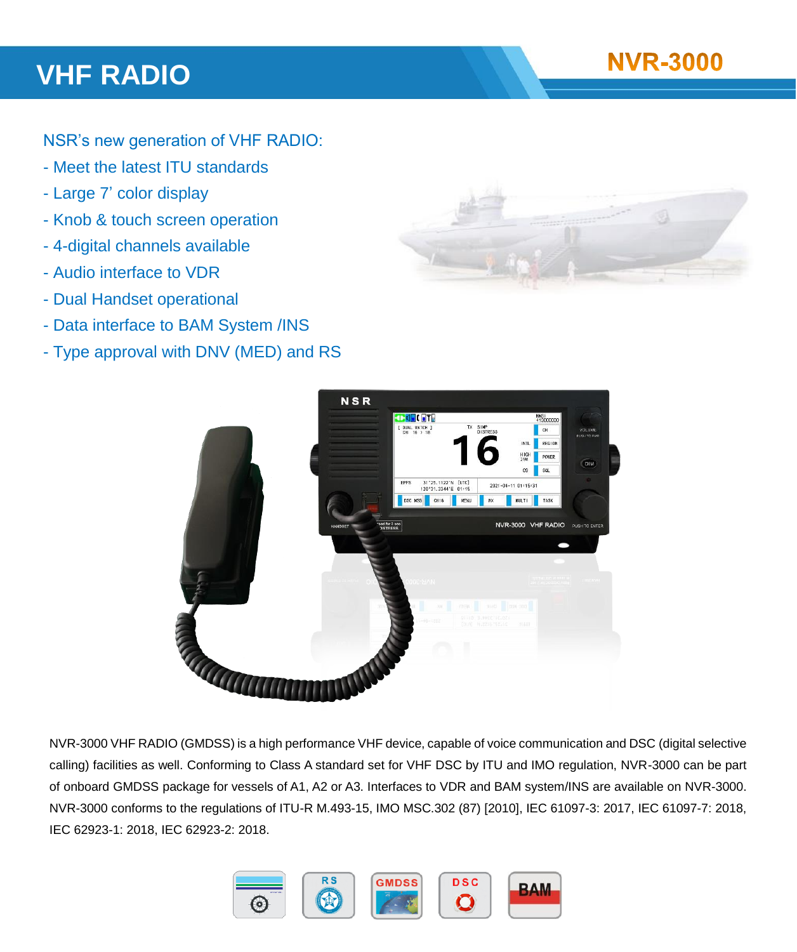## **VHF RADIO**

NSR's new generation of VHF RADIO:

- Meet the latest ITU standards
- Large 7' color display
- Knob & touch screen operation
- 4-digital channels available
- Audio interface to VDR
- Dual Handset operational
- Data interface to BAM System /INS
- Type approval with DNV (MED) and RS





NVR-3000 VHF RADIO (GMDSS) is a high performance VHF device, capable of voice communication and DSC (digital selective calling) facilities as well. Conforming to Class A standard set for VHF DSC by ITU and IMO regulation, NVR-3000 can be part of onboard GMDSS package for vessels of A1, A2 or A3. Interfaces to VDR and BAM system/INS are available on NVR-3000. NVR-3000 conforms to the regulations of ITU-R M.493-15, IMO MSC.302 (87) [2010], IEC 61097-3: 2017, IEC 61097-7: 2018, IEC 62923-1: 2018, IEC 62923-2: 2018.